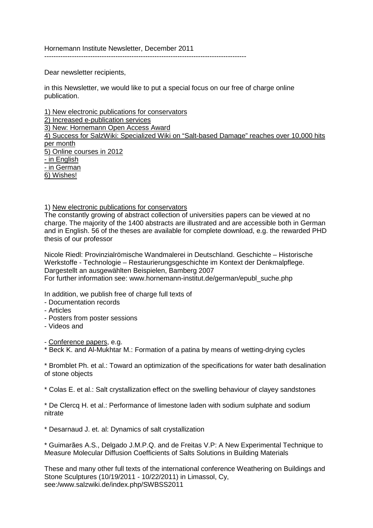Hornemann Institute Newsletter, December 2011

----------------------------------------------------------------------------------------

Dear newsletter recipients,

in this Newsletter, we would like to put a special focus on our free of charge online publication.

1) New electronic publications for conservators 2) Increased e-publication services 3) New: Hornemann Open Access Award 4) Success for SalzWiki: Specialized Wiki on "Salt-based Damage" reaches over 10,000 hits per month 5) Online courses in 2012 - in English - in German 6) Wishes!

1) New electronic publications for conservators

The constantly growing of abstract collection of universities papers can be viewed at no charge. The majority of the 1400 abstracts are illustrated and are accessible both in German and in English. 56 of the theses are available for complete download, e.g. the rewarded PHD thesis of our professor

Nicole Riedl: Provinzialrömische Wandmalerei in Deutschland. Geschichte – Historische Werkstoffe - Technologie – Restaurierungsgeschichte im Kontext der Denkmalpflege. Dargestellt an ausgewählten Beispielen, Bamberg 2007 For further information see: www.hornemann-institut.de/german/epubl\_suche.php

In addition, we publish free of charge full texts of

- Documentation records
- Articles
- Posters from poster sessions
- Videos and

- Conference papers, e.g.

\* Beck K. and Al-Mukhtar M.: Formation of a patina by means of wetting-drying cycles

\* Bromblet Ph. et al.: Toward an optimization of the specifications for water bath desalination of stone objects

\* Colas E. et al.: Salt crystallization effect on the swelling behaviour of clayey sandstones

\* De Clercq H. et al.: Performance of limestone laden with sodium sulphate and sodium nitrate

\* Desarnaud J. et. al: Dynamics of salt crystallization

\* Guimarães A.S., Delgado J.M.P.Q. and de Freitas V.P: A New Experimental Technique to Measure Molecular Diffusion Coefficients of Salts Solutions in Building Materials

These and many other full texts of the international conference Weathering on Buildings and Stone Sculptures (10/19/2011 - 10/22/2011) in Limassol, Cy, see:/www.salzwiki.de/index.php/SWBSS2011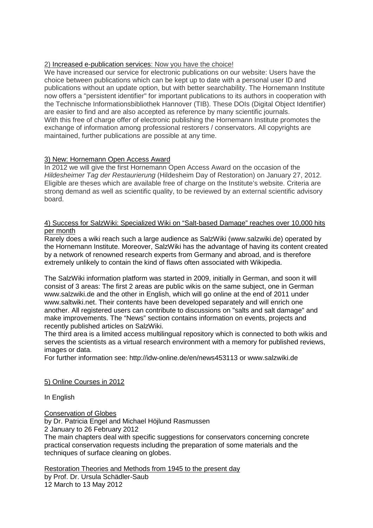# 2) Increased e-publication services: Now you have the choice!

We have increased our service for electronic publications on our website: Users have the choice between publications which can be kept up to date with a personal user ID and publications without an update option, but with better searchability. The Hornemann Institute now offers a "persistent identifier" for important publications to its authors in cooperation with the Technische Informationsbibliothek Hannover (TIB). These DOIs (Digital Object Identifier) are easier to find and are also accepted as reference by many scientific journals. With this free of charge offer of electronic publishing the Hornemann Institute promotes the exchange of information among professional restorers / conservators. All copyrights are maintained, further publications are possible at any time.

## 3) New: Hornemann Open Access Award

In 2012 we will give the first Hornemann Open Access Award on the occasion of the *Hildesheimer Tag der Restaurierung* (Hildesheim Day of Restoration) on January 27, 2012. Eligible are theses which are available free of charge on the Institute's website. Criteria are strong demand as well as scientific quality, to be reviewed by an external scientific advisory board.

#### 4) Success for SalzWiki: Specialized Wiki on "Salt-based Damage" reaches over 10,000 hits per month

Rarely does a wiki reach such a large audience as SalzWiki (www.salzwiki.de) operated by the Hornemann Institute. Moreover, SalzWiki has the advantage of having its content created by a network of renowned research experts from Germany and abroad, and is therefore extremely unlikely to contain the kind of flaws often associated with Wikipedia.

The SalzWiki information platform was started in 2009, initially in German, and soon it will consist of 3 areas: The first 2 areas are public wikis on the same subject, one in German www.salzwiki.de and the other in English, which will go online at the end of 2011 under www.saltwiki.net. Their contents have been developed separately and will enrich one another. All registered users can contribute to discussions on "salts and salt damage" and make improvements. The "News" section contains information on events, projects and recently published articles on SalzWiki.

The third area is a limited access multilingual repository which is connected to both wikis and serves the scientists as a virtual research environment with a memory for published reviews, images or data.

For further information see: http://idw-online.de/en/news453113 or www.salzwiki.de

### 5) Online Courses in 2012

In English

Conservation of Globes

by Dr. Patricia Engel and Michael Höjlund Rasmussen

2 January to 26 February 2012

The main chapters deal with specific suggestions for conservators concerning concrete practical conservation requests including the preparation of some materials and the techniques of surface cleaning on globes.

Restoration Theories and Methods from 1945 to the present day

by Prof. Dr. Ursula Schädler-Saub 12 March to 13 May 2012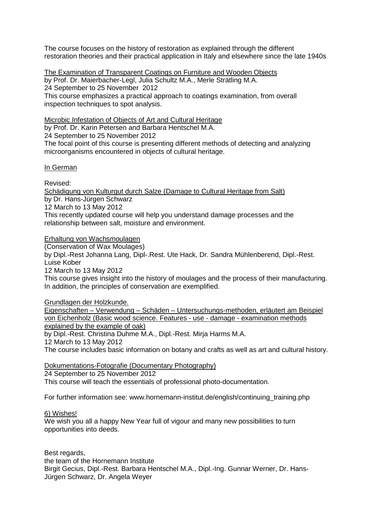The course focuses on the history of restoration as explained through the different restoration theories and their practical application in Italy and elsewhere since the late 1940s

The Examination of Transparent Coatings on Furniture and Wooden Objects

by Prof. Dr. Maierbacher-Legl, Julia Schultz M.A., Merle Strätling M.A. 24 September to 25 November 2012

This course emphasizes a practical approach to coatings examination, from overall inspection techniques to spot analysis.

Microbic Infestation of Objects of Art and Cultural Heritage

by Prof. Dr. Karin Petersen and Barbara Hentschel M.A.

24 September to 25 November 2012

The focal point of this course is presenting different methods of detecting and analyzing microorganisms encountered in objects of cultural heritage.

## In German

Revised:

Schädigung von Kulturgut durch Salze (Damage to Cultural Heritage from Salt) by Dr. Hans-Jürgen Schwarz 12 March to 13 May 2012

This recently updated course will help you understand damage processes and the relationship between salt, moisture and environment.

Erhaltung von Wachsmoulagen

(Conservation of Wax Moulages)

by Dipl.-Rest Johanna Lang, Dipl-.Rest. Ute Hack, Dr. Sandra Mühlenberend, Dipl.-Rest. Luise Kober

12 March to 13 May 2012

This course gives insight into the history of moulages and the process of their manufacturing. In addition, the principles of conservation are exemplified.

Grundlagen der Holzkunde.

Eigenschaften – Verwendung – Schäden – Untersuchungs-methoden, erläutert am Beispiel von Eichenholz (Basic wood science. Features - use - damage - examination methods explained by the example of oak) by Dipl.-Rest. Christina Duhme M.A., Dipl.-Rest. Mirja Harms M.A. 12 March to 13 May 2012

The course includes basic information on botany and crafts as well as art and cultural history.

Dokumentations-Fotografie (Documentary Photography) 24 September to 25 November 2012 This course will teach the essentials of professional photo-documentation.

For further information see: www.hornemann-institut.de/english/continuing\_training.php

### 6) Wishes!

We wish you all a happy New Year full of vigour and many new possibilities to turn opportunities into deeds.

Best regards, the team of the Hornemann Institute Birgit Gecius, Dipl.-Rest. Barbara Hentschel M.A., Dipl.-Ing. Gunnar Werner, Dr. Hans-Jürgen Schwarz, Dr. Angela Weyer